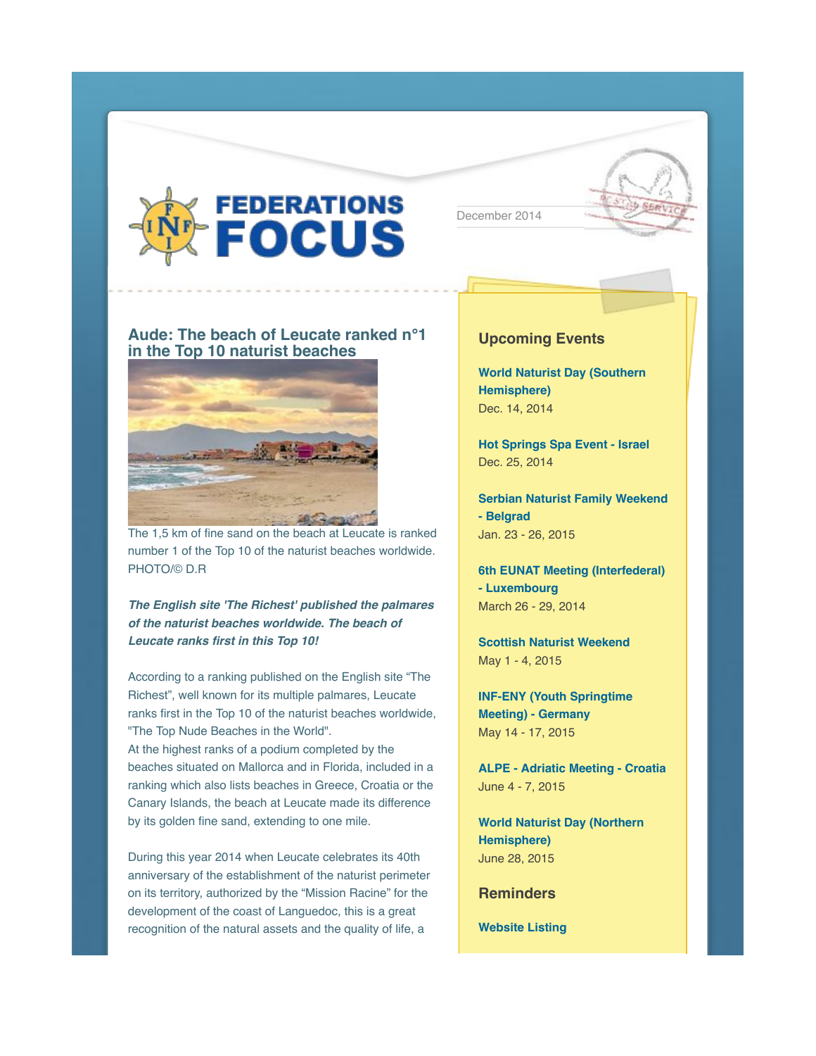

December 2014



## **Aude: The beach of Leucate ranked n°1 in the Top 10 naturist beaches**



The 1,5 km of fine sand on the beach at Leucate is ranked number 1 of the Top 10 of the naturist beaches worldwide. PHOTO/© D.R

*The English site 'The Richest' published the palmares of the naturist beaches worldwide. The beach of Leucate ranks first in this Top 10!*

According to a ranking published on the English site "The Richest", well known for its multiple palmares, Leucate ranks first in the Top 10 of the naturist beaches worldwide, "The Top Nude Beaches in the World". At the highest ranks of a podium completed by the beaches situated on Mallorca and in Florida, included in a ranking which also lists beaches in Greece, Croatia or the Canary Islands, the beach at Leucate made its difference by its golden fine sand, extending to one mile.

During this year 2014 when Leucate celebrates its 40th anniversary of the establishment of the naturist perimeter on its territory, authorized by the "Mission Racine" for the development of the coast of Languedoc, this is a great recognition of the natural assets and the quality of life, a

#### **Upcoming Events**

**World Naturist Day (Southern Hemisphere)** Dec. 14, 2014

**Hot Springs Spa Event - Israel** Dec. 25, 2014

**Serbian Naturist Family Weekend - Belgrad** Jan. 23 - 26, 2015

**6th EUNAT Meeting (Interfederal) - Luxembourg** March 26 - 29, 2014

**Scottish Naturist Weekend** May 1 - 4, 2015

**INF-ENY (Youth Springtime Meeting) - Germany** May 14 - 17, 2015

**ALPE - Adriatic Meeting - Croatia** June 4 - 7, 2015

**World Naturist Day (Northern Hemisphere)** June 28, 2015

**Reminders**

**Website Listing**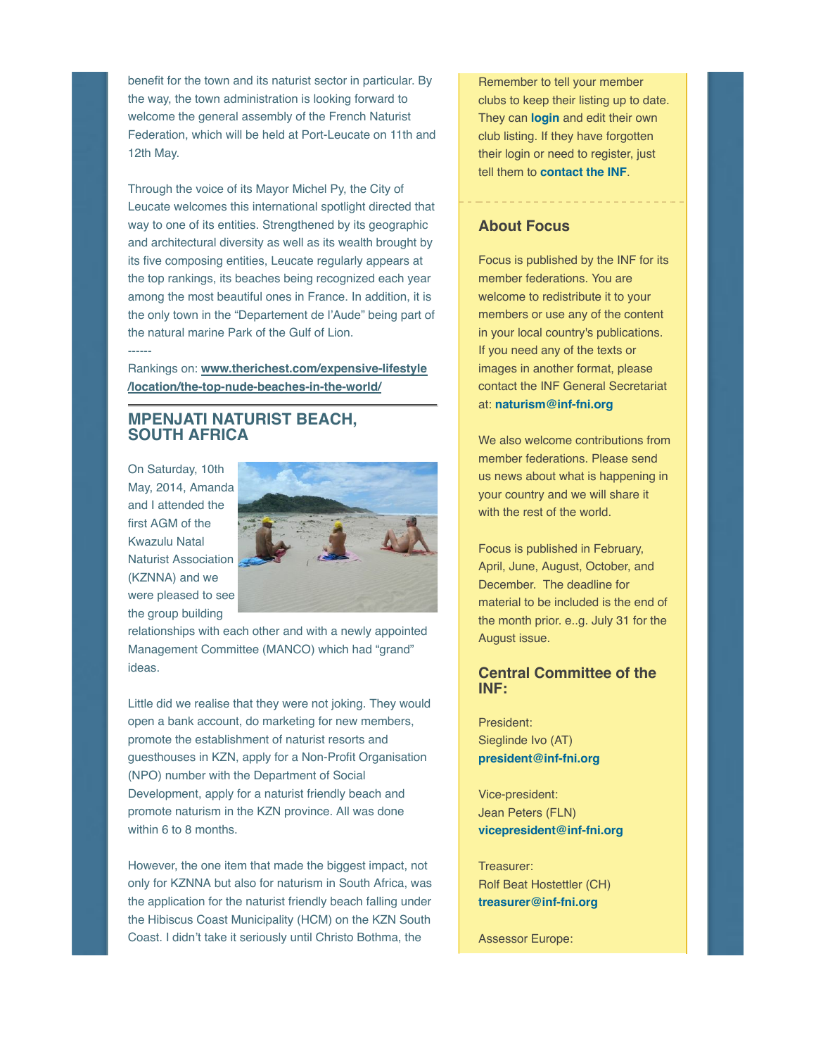benefit for the town and its naturist sector in particular. By the way, the town administration is looking forward to welcome the general assembly of the French Naturist Federation, which will be held at Port-Leucate on 11th and 12th May.

Through the voice of its Mayor Michel Py, the City of Leucate welcomes this international spotlight directed that way to one of its entities. Strengthened by its geographic and architectural diversity as well as its wealth brought by its five composing entities, Leucate regularly appears at the top rankings, its beaches being recognized each year among the most beautiful ones in France. In addition, it is the only town in the "Departement de l'Aude" being part of the natural marine Park of the Gulf of Lion.

Rankings on: **www.therichest.com/expensive-lifestyle /location/the-top-nude-beaches-in-the-world/**

# **MPENJATI NATURIST BEACH, SOUTH AFRICA**

On Saturday, 10th May, 2014, Amanda and I attended the first AGM of the Kwazulu Natal Naturist Association (KZNNA) and we were pleased to see the group building

------



relationships with each other and with a newly appointed Management Committee (MANCO) which had "grand" ideas.

Little did we realise that they were not joking. They would open a bank account, do marketing for new members, promote the establishment of naturist resorts and guesthouses in KZN, apply for a Non-Profit Organisation (NPO) number with the Department of Social Development, apply for a naturist friendly beach and promote naturism in the KZN province. All was done within 6 to 8 months.

However, the one item that made the biggest impact, not only for KZNNA but also for naturism in South Africa, was the application for the naturist friendly beach falling under the Hibiscus Coast Municipality (HCM) on the KZN South Coast. I didn't take it seriously until Christo Bothma, the

Remember to tell your member clubs to keep their listing up to date. They can **login** and edit their own club listing. If they have forgotten their login or need to register, just tell them to **contact the INF**.

## **About Focus**

Focus is published by the INF for its member federations. You are welcome to redistribute it to your members or use any of the content in your local country's publications. If you need any of the texts or images in another format, please contact the INF General Secretariat at: **naturism@inf-fni.org**

We also welcome contributions from member federations. Please send us news about what is happening in your country and we will share it with the rest of the world.

Focus is published in February, April, June, August, October, and December. The deadline for material to be included is the end of the month prior. e..g. July 31 for the August issue.

#### **Central Committee of the INF:**

President: Sieglinde Ivo (AT) **president@inf-fni.org**

Vice-president: Jean Peters (FLN) **vicepresident@inf-fni.org**

Treasurer: Rolf Beat Hostettler (CH) **treasurer@inf-fni.org**

Assessor Europe: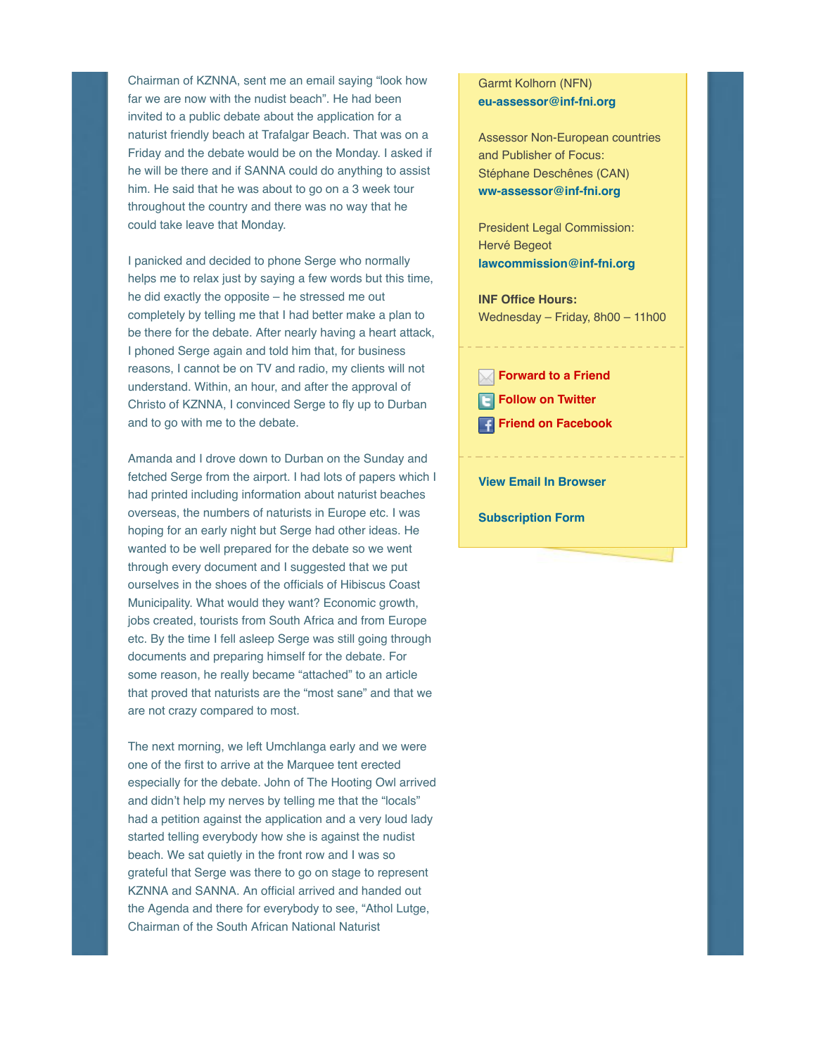Chairman of KZNNA, sent me an email saying "look how far we are now with the nudist beach". He had been invited to a public debate about the application for a naturist friendly beach at Trafalgar Beach. That was on a Friday and the debate would be on the Monday. I asked if he will be there and if SANNA could do anything to assist him. He said that he was about to go on a 3 week tour throughout the country and there was no way that he could take leave that Monday.

I panicked and decided to phone Serge who normally helps me to relax just by saying a few words but this time, he did exactly the opposite – he stressed me out completely by telling me that I had better make a plan to be there for the debate. After nearly having a heart attack, I phoned Serge again and told him that, for business reasons, I cannot be on TV and radio, my clients will not understand. Within, an hour, and after the approval of Christo of KZNNA, I convinced Serge to fly up to Durban and to go with me to the debate.

Amanda and I drove down to Durban on the Sunday and fetched Serge from the airport. I had lots of papers which I had printed including information about naturist beaches overseas, the numbers of naturists in Europe etc. I was hoping for an early night but Serge had other ideas. He wanted to be well prepared for the debate so we went through every document and I suggested that we put ourselves in the shoes of the officials of Hibiscus Coast Municipality. What would they want? Economic growth, jobs created, tourists from South Africa and from Europe etc. By the time I fell asleep Serge was still going through documents and preparing himself for the debate. For some reason, he really became "attached" to an article that proved that naturists are the "most sane" and that we are not crazy compared to most.

The next morning, we left Umchlanga early and we were one of the first to arrive at the Marquee tent erected especially for the debate. John of The Hooting Owl arrived and didn't help my nerves by telling me that the "locals" had a petition against the application and a very loud lady started telling everybody how she is against the nudist beach. We sat quietly in the front row and I was so grateful that Serge was there to go on stage to represent KZNNA and SANNA. An official arrived and handed out the Agenda and there for everybody to see, "Athol Lutge, Chairman of the South African National Naturist

#### Garmt Kolhorn (NFN) **eu-assessor@inf-fni.org**

Assessor Non-European countries and Publisher of Focus: Stéphane Deschênes (CAN) **ww-assessor@inf-fni.org**

President Legal Commission: Hervé Begeot **lawcommission@inf-fni.org**

**INF Office Hours:** Wednesday – Friday, 8h00 – 11h00

**Forward to a Friend**

**Follow on Twitter** 

**Friend on Facebook**

**View Email In Browser**

**Subscription Form**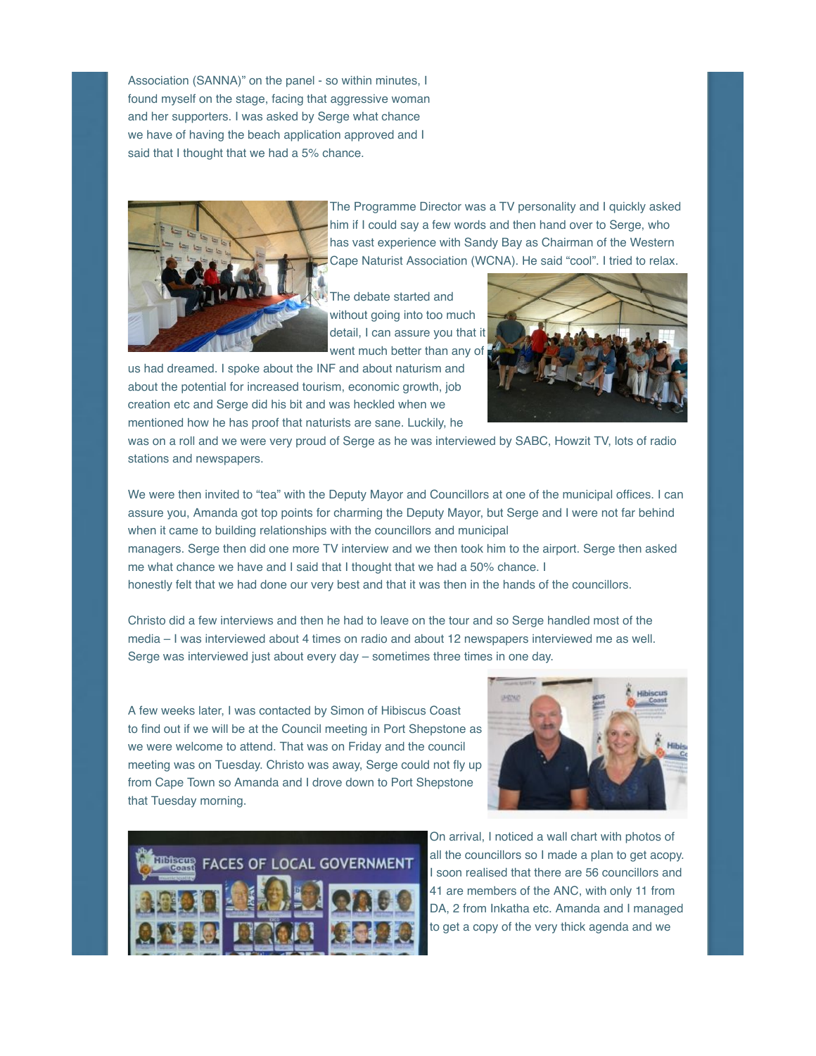Association (SANNA)" on the panel - so within minutes, I found myself on the stage, facing that aggressive woman and her supporters. I was asked by Serge what chance we have of having the beach application approved and I said that I thought that we had a 5% chance.



The Programme Director was a TV personality and I quickly asked him if I could say a few words and then hand over to Serge, who has vast experience with Sandy Bay as Chairman of the Western Cape Naturist Association (WCNA). He said "cool". I tried to relax.

The debate started and without going into too much detail, I can assure you that it went much better than any of

us had dreamed. I spoke about the INF and about naturism and about the potential for increased tourism, economic growth, job creation etc and Serge did his bit and was heckled when we mentioned how he has proof that naturists are sane. Luckily, he



was on a roll and we were very proud of Serge as he was interviewed by SABC, Howzit TV, lots of radio stations and newspapers.

We were then invited to "tea" with the Deputy Mayor and Councillors at one of the municipal offices. I can assure you, Amanda got top points for charming the Deputy Mayor, but Serge and I were not far behind when it came to building relationships with the councillors and municipal

managers. Serge then did one more TV interview and we then took him to the airport. Serge then asked me what chance we have and I said that I thought that we had a 50% chance. I

honestly felt that we had done our very best and that it was then in the hands of the councillors.

Christo did a few interviews and then he had to leave on the tour and so Serge handled most of the media – I was interviewed about 4 times on radio and about 12 newspapers interviewed me as well. Serge was interviewed just about every day – sometimes three times in one day.

A few weeks later, I was contacted by Simon of Hibiscus Coast to find out if we will be at the Council meeting in Port Shepstone as we were welcome to attend. That was on Friday and the council meeting was on Tuesday. Christo was away, Serge could not fly up from Cape Town so Amanda and I drove down to Port Shepstone that Tuesday morning.





On arrival, I noticed a wall chart with photos of all the councillors so I made a plan to get acopy. I soon realised that there are 56 councillors and 41 are members of the ANC, with only 11 from DA, 2 from Inkatha etc. Amanda and I managed to get a copy of the very thick agenda and we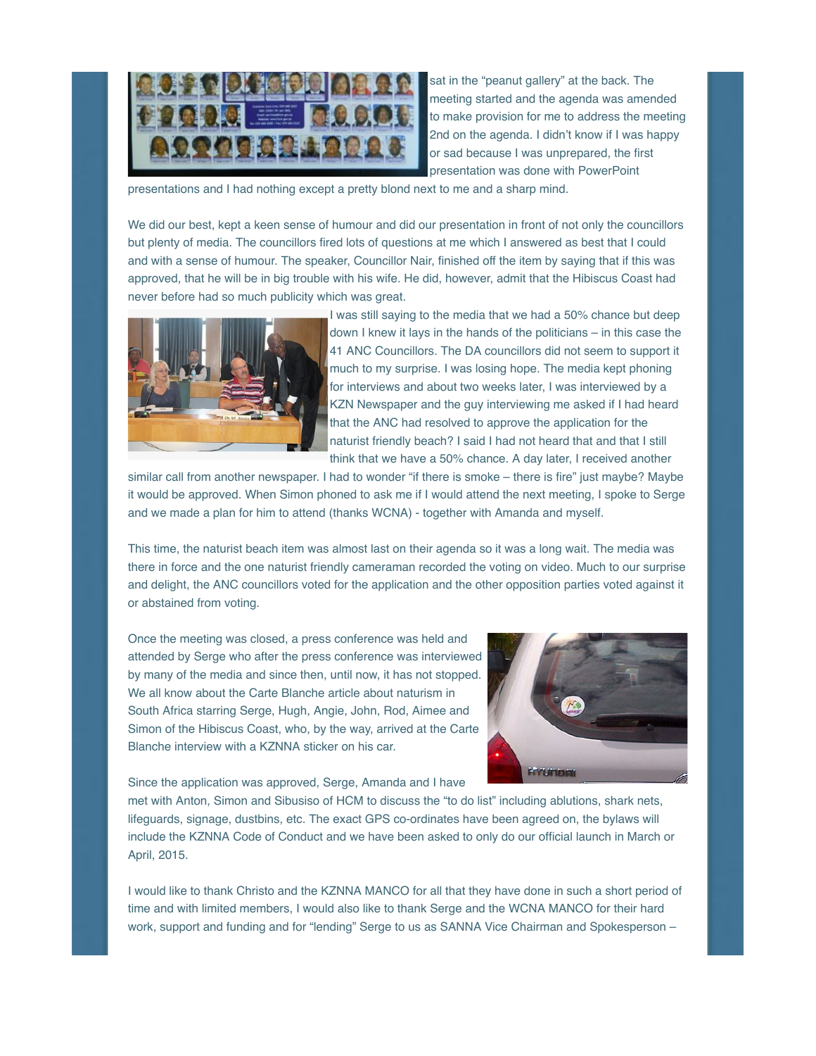

sat in the "peanut gallery" at the back. The meeting started and the agenda was amended to make provision for me to address the meeting 2nd on the agenda. I didn't know if I was happy or sad because I was unprepared, the first presentation was done with PowerPoint

presentations and I had nothing except a pretty blond next to me and a sharp mind.

We did our best, kept a keen sense of humour and did our presentation in front of not only the councillors but plenty of media. The councillors fired lots of questions at me which I answered as best that I could and with a sense of humour. The speaker, Councillor Nair, finished off the item by saying that if this was approved, that he will be in big trouble with his wife. He did, however, admit that the Hibiscus Coast had never before had so much publicity which was great.



I was still saying to the media that we had a 50% chance but deep down I knew it lays in the hands of the politicians – in this case the 41 ANC Councillors. The DA councillors did not seem to support it much to my surprise. I was losing hope. The media kept phoning for interviews and about two weeks later, I was interviewed by a KZN Newspaper and the guy interviewing me asked if I had heard that the ANC had resolved to approve the application for the naturist friendly beach? I said I had not heard that and that I still think that we have a 50% chance. A day later, I received another

similar call from another newspaper. I had to wonder "if there is smoke - there is fire" just maybe? Maybe it would be approved. When Simon phoned to ask me if I would attend the next meeting, I spoke to Serge and we made a plan for him to attend (thanks WCNA) - together with Amanda and myself.

This time, the naturist beach item was almost last on their agenda so it was a long wait. The media was there in force and the one naturist friendly cameraman recorded the voting on video. Much to our surprise and delight, the ANC councillors voted for the application and the other opposition parties voted against it or abstained from voting.

Once the meeting was closed, a press conference was held and attended by Serge who after the press conference was interviewed by many of the media and since then, until now, it has not stopped. We all know about the Carte Blanche article about naturism in South Africa starring Serge, Hugh, Angie, John, Rod, Aimee and Simon of the Hibiscus Coast, who, by the way, arrived at the Carte Blanche interview with a KZNNA sticker on his car.



Since the application was approved, Serge, Amanda and I have

met with Anton, Simon and Sibusiso of HCM to discuss the "to do list" including ablutions, shark nets, lifeguards, signage, dustbins, etc. The exact GPS co-ordinates have been agreed on, the bylaws will include the KZNNA Code of Conduct and we have been asked to only do our official launch in March or April, 2015.

I would like to thank Christo and the KZNNA MANCO for all that they have done in such a short period of time and with limited members, I would also like to thank Serge and the WCNA MANCO for their hard work, support and funding and for "lending" Serge to us as SANNA Vice Chairman and Spokesperson –